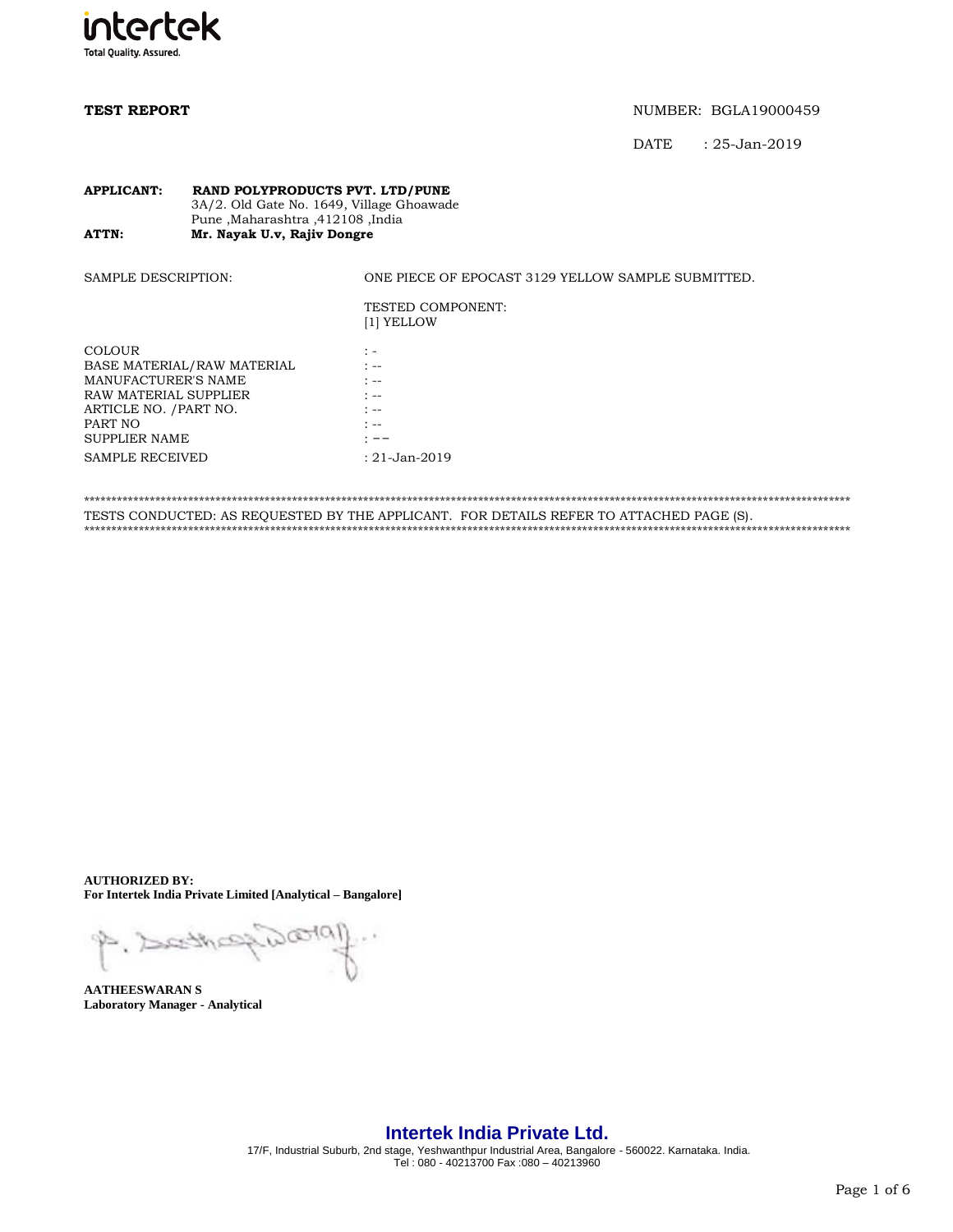

DATE : 25-Jan-2019

### **APPLICANT: RAND POLYPRODUCTS PVT. LTD/PUNE** 3A/2. Old Gate No. 1649, Village Ghoawade Pune ,Maharashtra ,412108 ,India<br>**ATTN:** Mr. Nayak U.v. Rajiv Dongre **Mr. Nayak U.v, Rajiv Dongre**

| <b>SAMPLE DESCRIPTION:</b>                                                                                                                                                         | ONE PIECE OF EPOCAST 3129 YELLOW SAMPLE SUBMITTED.                                        |
|------------------------------------------------------------------------------------------------------------------------------------------------------------------------------------|-------------------------------------------------------------------------------------------|
|                                                                                                                                                                                    | <b>TESTED COMPONENT:</b><br>[1] YELLOW                                                    |
| <b>COLOUR</b><br>BASE MATERIAL/RAW MATERIAL<br>MANUFACTURER'S NAME<br>RAW MATERIAL SUPPLIER<br>ARTICLE NO. / PART NO.<br>PART NO<br><b>SUPPLIER NAME</b><br><b>SAMPLE RECEIVED</b> | $\mathbb{Z}$ =<br>$1 - -$<br>$1 - -$<br>$1 - -$<br>$1 - -$<br>$1 - -$<br>$: 21$ -Jan-2019 |
|                                                                                                                                                                                    |                                                                                           |

\*\*\*\*\*\*\*\*\*\*\*\*\*\*\*\*\*\*\*\*\*\*\*\*\*\*\*\*\*\*\*\*\*\*\*\*\*\*\*\*\*\*\*\*\*\*\*\*\*\*\*\*\*\*\*\*\*\*\*\*\*\*\*\*\*\*\*\*\*\*\*\*\*\*\*\*\*\*\*\*\*\*\*\*\*\*\*\*\*\*\*\*\*\*\*\*\*\*\*\*\*\*\*\*\*\*\*\*\*\*\*\*\*\*\*\*\*\*\*\*\*\*\*\*\*\*\*\*\*\*\*\*\*\*\*\*\*\*\*\* TESTS CONDUCTED: AS REQUESTED BY THE APPLICANT. FOR DETAILS REFER TO ATTACHED PAGE (S). \*\*\*\*\*\*\*\*\*\*\*\*\*\*\*\*\*\*\*\*\*\*\*\*\*\*\*\*\*\*\*\*\*\*\*\*\*\*\*\*\*\*\*\*\*\*\*\*\*\*\*\*\*\*\*\*\*\*\*\*\*\*\*\*\*\*\*\*\*\*\*\*\*\*\*\*\*\*\*\*\*\*\*\*\*\*\*\*\*\*\*\*\*\*\*\*\*\*\*\*\*\*\*\*\*\*\*\*\*\*\*\*\*\*\*\*\*\*\*\*\*\*\*\*\*\*\*\*\*\*\*\*\*\*\*\*\*\*\*\*

**AUTHORIZED BY: For Intertek India Private Limited [Analytical – Bangalore]**

 $D \infty$ (01) P. Dethe

**AATHEESWARAN S Laboratory Manager - Analytical**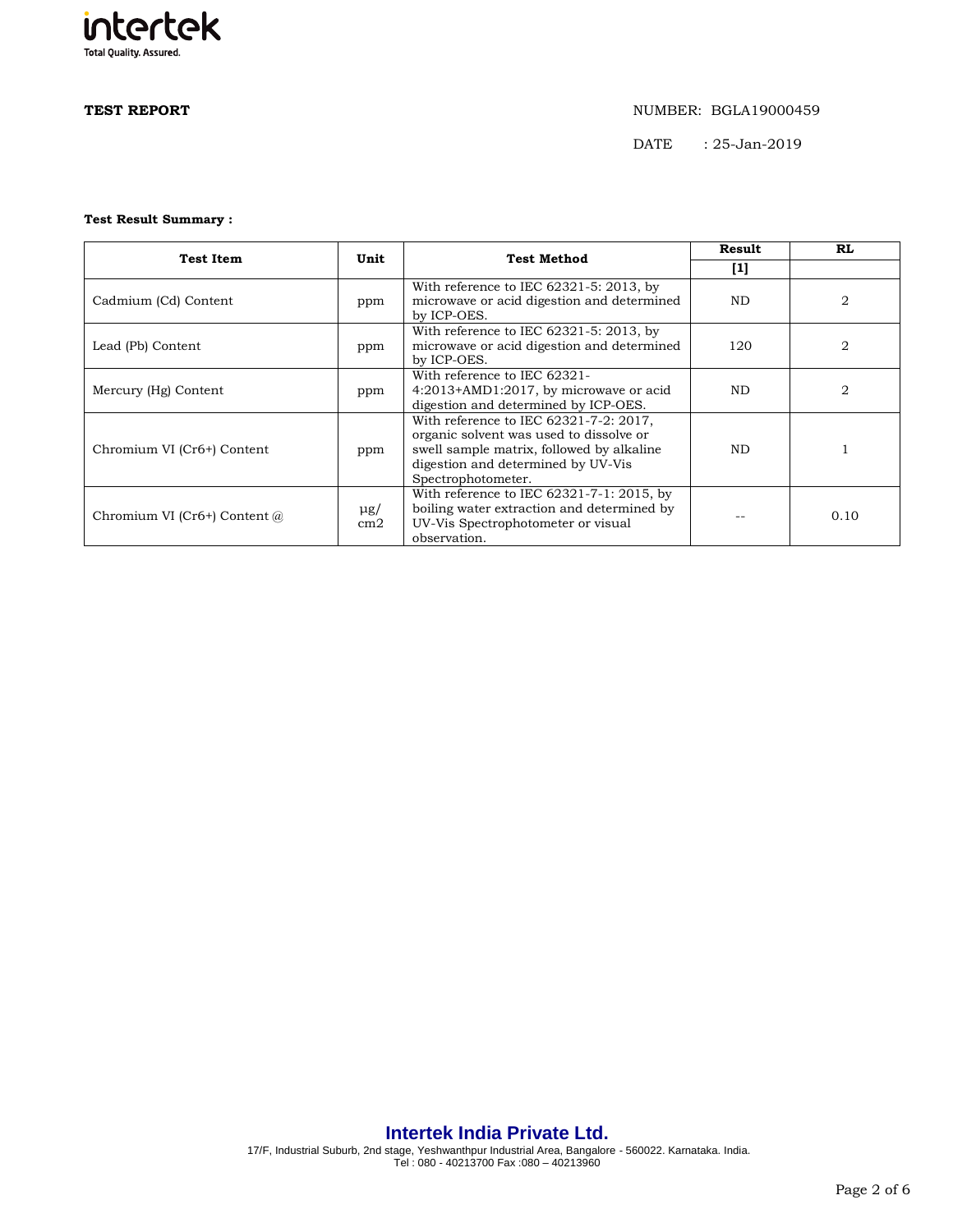# intertek **Total Quality. Assured.**

## **TEST REPORT** NUMBER: BGLA19000459

DATE : 25-Jan-2019

### **Test Result Summary :**

| <b>Test Item</b>               | Unit            | <b>Test Method</b>                                                                                                                                                                         | <b>Result</b> | RL             |
|--------------------------------|-----------------|--------------------------------------------------------------------------------------------------------------------------------------------------------------------------------------------|---------------|----------------|
|                                |                 |                                                                                                                                                                                            | $[1]$         |                |
| Cadmium (Cd) Content           | ppm             | With reference to IEC $62321-5:2013$ , by<br>microwave or acid digestion and determined<br>by ICP-OES.                                                                                     | ND.           | 2              |
| Lead (Pb) Content              | ppm             | With reference to IEC $62321 - 5$ : 2013, by<br>microwave or acid digestion and determined<br>by ICP-OES.                                                                                  | 120           | 2              |
| Mercury (Hg) Content           | ppm             | With reference to IEC 62321-<br>4:2013+AMD1:2017, by microwave or acid<br>digestion and determined by ICP-OES.                                                                             | ND.           | $\mathfrak{D}$ |
| Chromium VI (Cr6+) Content     | ppm             | With reference to IEC 62321-7-2: 2017,<br>organic solvent was used to dissolve or<br>swell sample matrix, followed by alkaline<br>digestion and determined by UV-Vis<br>Spectrophotometer. | ND.           |                |
| Chromium VI (Cr6+) Content $@$ | $\mu$ g/<br>cm2 | With reference to IEC $62321 - 7 - 1$ : 2015, by<br>boiling water extraction and determined by<br>UV-Vis Spectrophotometer or visual<br>observation.                                       |               | 0.10           |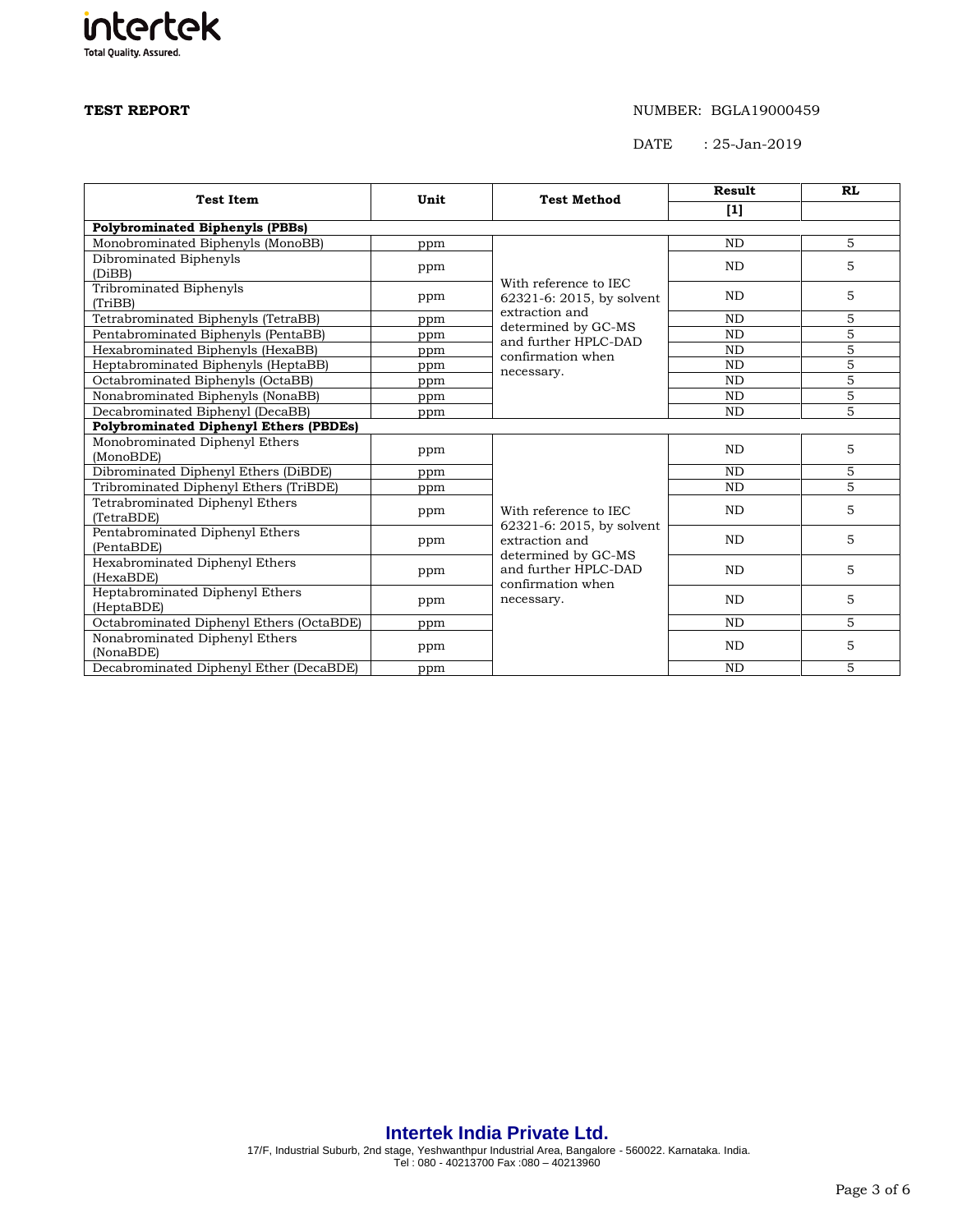**Total Quality. Assured.** 

intertek

## **TEST REPORT** NUMBER: BGLA19000459

DATE : 25-Jan-2019

| <b>Test Item</b>                              | Unit | <b>Test Method</b>                                               | <b>Result</b> | <b>RL</b>      |
|-----------------------------------------------|------|------------------------------------------------------------------|---------------|----------------|
|                                               |      |                                                                  | $[1]$         |                |
| <b>Polybrominated Biphenyls (PBBs)</b>        |      |                                                                  |               |                |
| Monobrominated Biphenyls (MonoBB)             | ppm  |                                                                  | <b>ND</b>     | 5              |
| Dibrominated Biphenyls<br>(DiBB)              | ppm  |                                                                  | <b>ND</b>     | 5              |
| Tribrominated Biphenyls                       |      | With reference to IEC                                            |               |                |
| (TriBB)                                       | ppm  | 62321-6: 2015, by solvent                                        | <b>ND</b>     | 5              |
| Tetrabrominated Biphenyls (TetraBB)           | ppm  | extraction and                                                   | <b>ND</b>     | 5              |
| Pentabrominated Biphenyls (PentaBB)           | ppm  | determined by GC-MS<br>and further HPLC-DAD                      | <b>ND</b>     | $\overline{5}$ |
| Hexabrominated Biphenyls (HexaBB)             | ppm  | confirmation when                                                | <b>ND</b>     | 5              |
| Heptabrominated Biphenyls (HeptaBB)           | ppm  | necessary.                                                       | <b>ND</b>     | $\overline{5}$ |
| Octabrominated Biphenyls (OctaBB)             | ppm  |                                                                  | <b>ND</b>     | $\overline{5}$ |
| Nonabrominated Biphenyls (NonaBB)             | ppm  |                                                                  | <b>ND</b>     | $\overline{5}$ |
| Decabrominated Biphenyl (DecaBB)              | ppm  |                                                                  | <b>ND</b>     | 5              |
| <b>Polybrominated Diphenyl Ethers (PBDEs)</b> |      |                                                                  |               |                |
| Monobrominated Diphenyl Ethers                | ppm  |                                                                  | <b>ND</b>     | 5              |
| (MonoBDE)                                     |      |                                                                  |               |                |
| Dibrominated Diphenyl Ethers (DiBDE)          | ppm  |                                                                  | <b>ND</b>     | 5              |
| Tribrominated Diphenyl Ethers (TriBDE)        | ppm  |                                                                  | <b>ND</b>     | $\overline{5}$ |
| Tetrabrominated Diphenyl Ethers<br>(TetraBDE) | ppm  | With reference to IEC                                            | <b>ND</b>     | 5              |
| Pentabrominated Diphenyl Ethers<br>(PentaBDE) | ppm  | 62321-6: 2015, by solvent<br>extraction and                      | <b>ND</b>     | 5              |
| Hexabrominated Diphenyl Ethers<br>(HexaBDE)   | ppm  | determined by GC-MS<br>and further HPLC-DAD<br>confirmation when | <b>ND</b>     | 5              |
| Heptabrominated Diphenyl Ethers<br>(HeptaBDE) | ppm  | necessary.                                                       | <b>ND</b>     | 5              |
| Octabrominated Diphenyl Ethers (OctaBDE)      | ppm  |                                                                  | <b>ND</b>     | 5              |
| Nonabrominated Diphenyl Ethers<br>(NonaBDE)   | ppm  |                                                                  | <b>ND</b>     | 5              |
| Decabrominated Diphenyl Ether (DecaBDE)       | ppm  |                                                                  | <b>ND</b>     | 5              |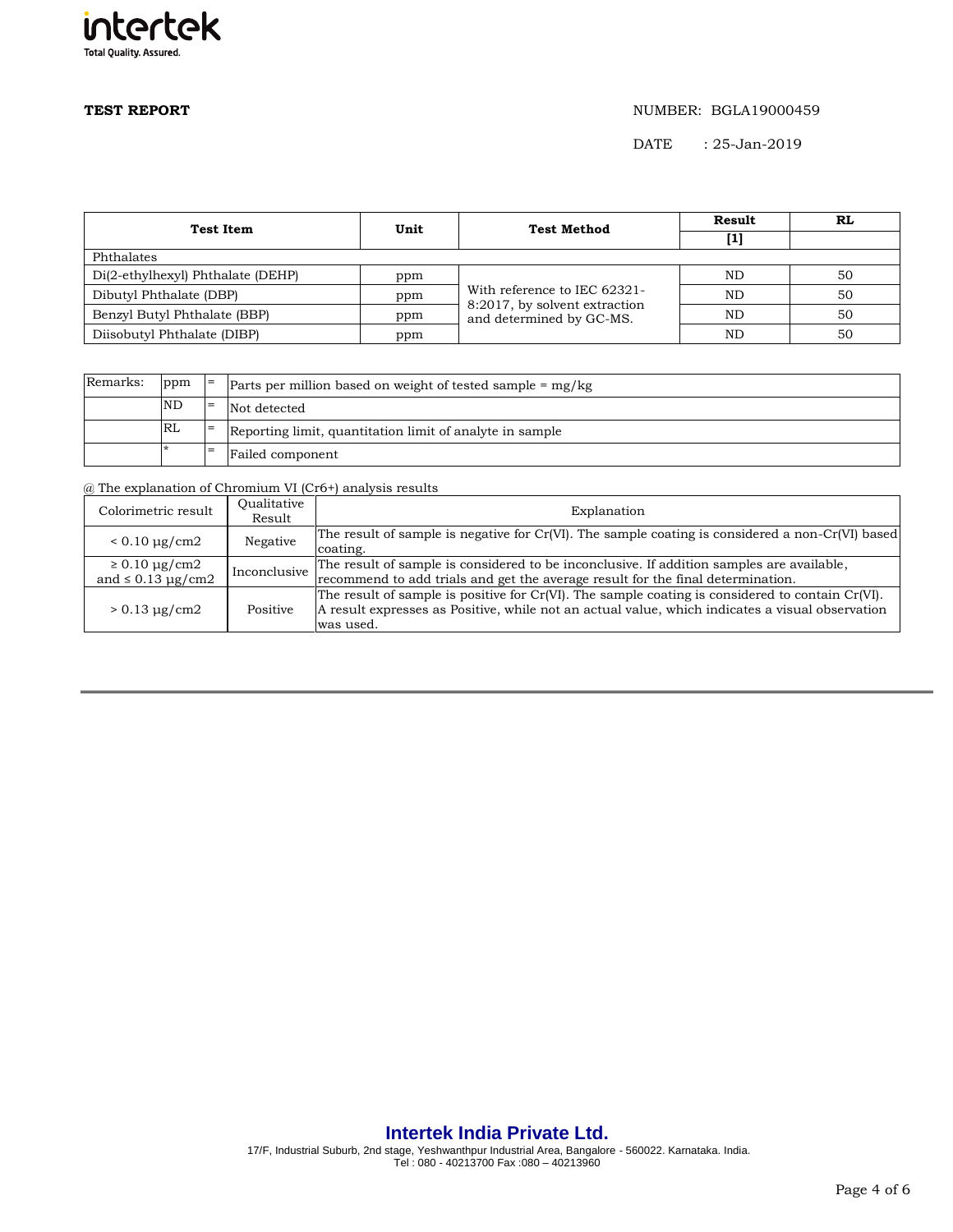

DATE : 25-Jan-2019

| <b>Test Item</b>                  | Unit | <b>Test Method</b>                                                                        | Result | RL |  |
|-----------------------------------|------|-------------------------------------------------------------------------------------------|--------|----|--|
|                                   |      |                                                                                           | [1]    |    |  |
| Phthalates                        |      |                                                                                           |        |    |  |
| Di(2-ethylhexyl) Phthalate (DEHP) | ppm  | With reference to IEC 62321-<br>8:2017, by solvent extraction<br>and determined by GC-MS. | ND     | 50 |  |
| Dibutyl Phthalate (DBP)           | ppm  |                                                                                           | ND     | 50 |  |
| Benzyl Butyl Phthalate (BBP)      | ppm  |                                                                                           | ND     | 50 |  |
| Diisobutyl Phthalate (DIBP)       | ppm  |                                                                                           | ND     | 50 |  |

| Remarks: | ppm       | $=$ | Parts per million based on weight of tested sample $=$ mg/kg |  |
|----------|-----------|-----|--------------------------------------------------------------|--|
|          | <b>ND</b> | $=$ | Not detected                                                 |  |
|          | RL        |     | Reporting limit, quantitation limit of analyte in sample     |  |
|          |           | $=$ | Failed component                                             |  |

@ The explanation of Chromium VI (Cr6+) analysis results

| Colorimetric result                                | Oualitative<br>Result | Explanation                                                                                                                                                                                                      |
|----------------------------------------------------|-----------------------|------------------------------------------------------------------------------------------------------------------------------------------------------------------------------------------------------------------|
| $< 0.10 \mu g/cm2$                                 | Negative              | The result of sample is negative for $Cr(VI)$ . The sample coating is considered a non- $Cr(VI)$ based<br>coating.                                                                                               |
| $\geq 0.10 \mu g/cm2$<br>and $\leq 0.13 \mu$ g/cm2 | Inconclusive          | The result of sample is considered to be inconclusive. If addition samples are available,<br>recommend to add trials and get the average result for the final determination.                                     |
| $> 0.13 \mu g/cm2$                                 | Positive              | The result of sample is positive for Cr(VI). The sample coating is considered to contain Cr(VI).<br>A result expresses as Positive, while not an actual value, which indicates a visual observation<br>was used. |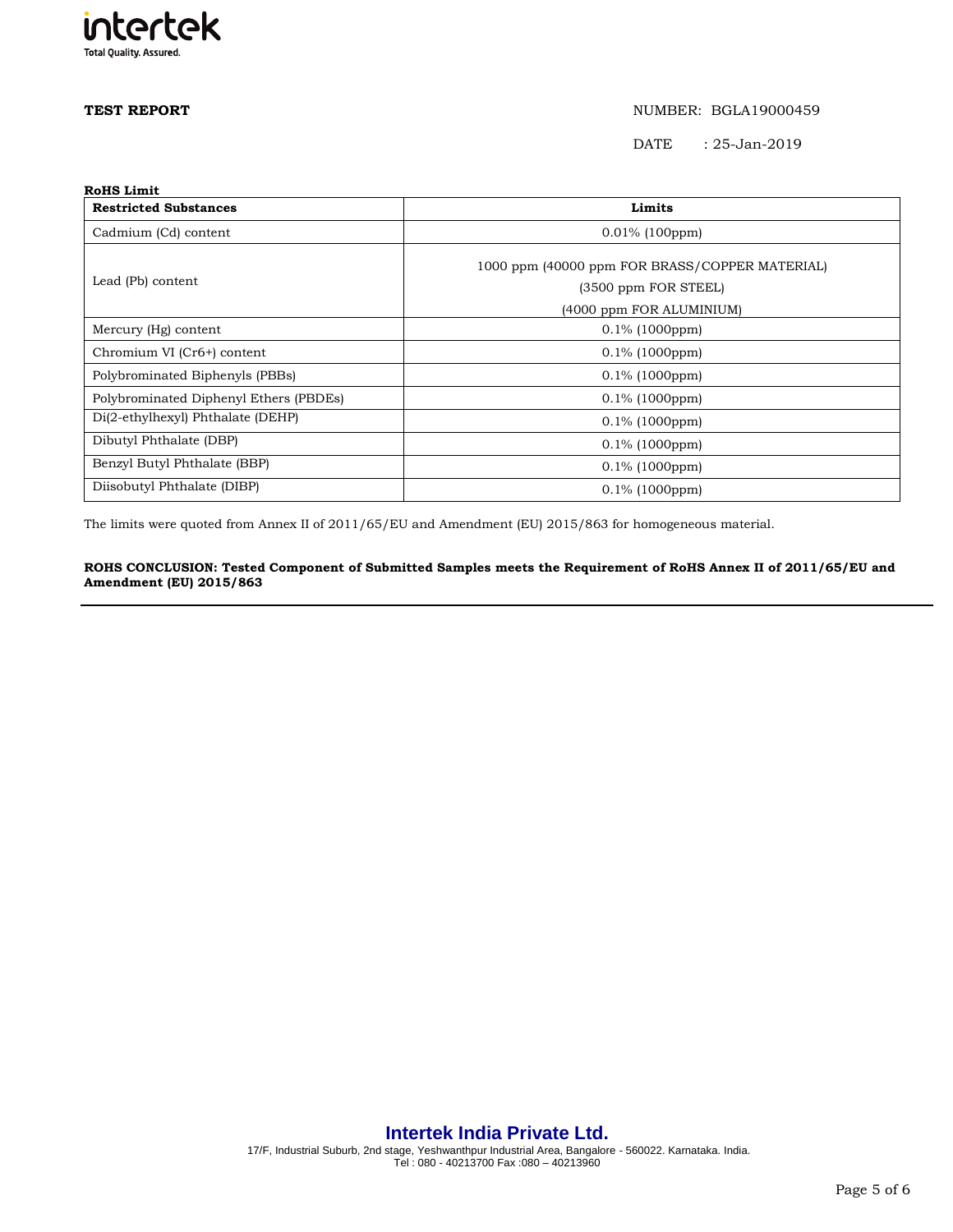

DATE : 25-Jan-2019

| <b>RoHS Limit</b>                      |                                                |  |  |
|----------------------------------------|------------------------------------------------|--|--|
| <b>Restricted Substances</b>           | Limits                                         |  |  |
| Cadmium (Cd) content                   | $0.01\%$ (100ppm)                              |  |  |
|                                        | 1000 ppm (40000 ppm FOR BRASS/COPPER MATERIAL) |  |  |
| Lead (Pb) content                      | (3500 ppm FOR STEEL)                           |  |  |
|                                        | (4000 ppm FOR ALUMINIUM)                       |  |  |
| Mercury (Hg) content                   | $0.1\%$ (1000ppm)                              |  |  |
| Chromium VI (Cr6+) content             | $0.1\%$ (1000ppm)                              |  |  |
| Polybrominated Biphenyls (PBBs)        | $0.1\%$ (1000ppm)                              |  |  |
| Polybrominated Diphenyl Ethers (PBDEs) | $0.1\%$ (1000ppm)                              |  |  |
| Di(2-ethylhexyl) Phthalate (DEHP)      | $0.1\%$ (1000ppm)                              |  |  |
| Dibutyl Phthalate (DBP)                | $0.1\%$ (1000ppm)                              |  |  |
| Benzyl Butyl Phthalate (BBP)           | $0.1\%$ (1000ppm)                              |  |  |
| Diisobutyl Phthalate (DIBP)            | $0.1\%$ (1000ppm)                              |  |  |

The limits were quoted from Annex II of 2011/65/EU and Amendment (EU) 2015/863 for homogeneous material.

### **ROHS CONCLUSION: Tested Component of Submitted Samples meets the Requirement of RoHS Annex II of 2011/65/EU and Amendment (EU) 2015/863**